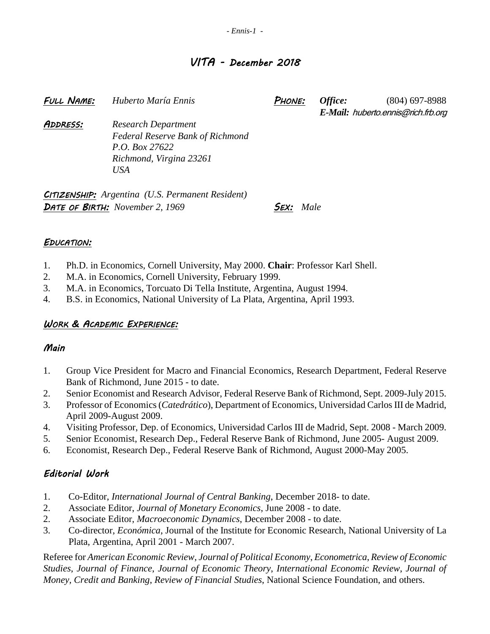## *VITA - December 2018*

*FULL NAME: Huberto María Ennis PHONE: Office:* (804) 697-8988 *E-Mail:* huberto.ennis@rich.frb.org *ADDRESS: Research Department Federal Reserve Bank of Richmond P.O. Box 27622 Richmond, Virgina 23261 USA*

*CITIZENSHIP: Argentina (U.S. Permanent Resident) DATE OF BIRTH: November 2, 1969 SEX: Male*

### *EDUCATION:*

- 1. Ph.D. in Economics, Cornell University, May 2000. **Chair**: Professor Karl Shell.
- 2. M.A. in Economics, Cornell University, February 1999.
- 3. M.A. in Economics, Torcuato Di Tella Institute, Argentina, August 1994.
- 4. B.S. in Economics, National University of La Plata, Argentina, April 1993.

### *WORK & ACADEMIC EXPERIENCE:*

#### *Main*

- 1. Group Vice President for Macro and Financial Economics, Research Department, Federal Reserve Bank of Richmond, June 2015 - to date.
- 2. Senior Economist and Research Advisor, Federal Reserve Bank of Richmond, Sept. 2009-July 2015.
- 3. Professor of Economics (*Catedrático*), Department of Economics, Universidad Carlos III de Madrid, April 2009-August 2009.
- 4. Visiting Professor, Dep. of Economics, Universidad Carlos III de Madrid, Sept. 2008 March 2009.
- 5. Senior Economist, Research Dep., Federal Reserve Bank of Richmond, June 2005- August 2009.
- 6. Economist, Research Dep., Federal Reserve Bank of Richmond, August 2000-May 2005.

## *Editorial Work*

- 1. Co-Editor, *International Journal of Central Banking*, December 2018- to date.
- 2. Associate Editor, *Journal of Monetary Economics*, June 2008 to date.
- 2. Associate Editor, *Macroeconomic Dynamics*, December 2008 to date.
- 3. Co-director, *Económica*, Journal of the Institute for Economic Research, National University of La Plata, Argentina, April 2001 - March 2007.

Referee for *American Economic Review*, *Journal of Political Economy*, *Econometrica*, *Review of Economic Studies*, *Journal of Finance*, *Journal of Economic Theory*, *International Economic Review*, *Journal of Money, Credit and Banking*, *Review of Financial Studies*, National Science Foundation, and others.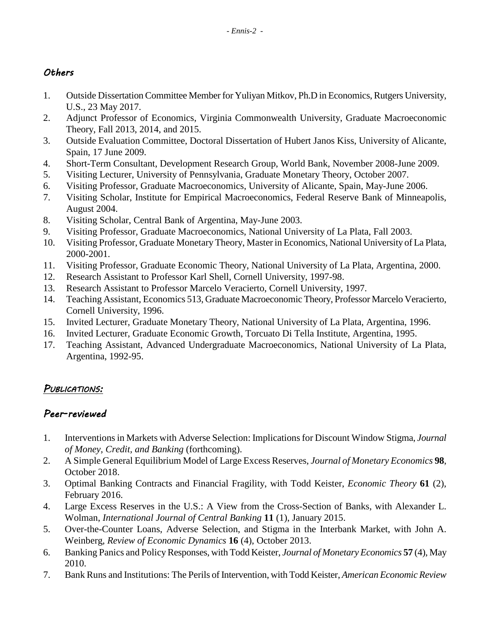### *Others*

- 1. Outside Dissertation Committee Member for Yuliyan Mitkov, Ph.D in Economics, Rutgers University, U.S., 23 May 2017.
- 2. Adjunct Professor of Economics, Virginia Commonwealth University, Graduate Macroeconomic Theory, Fall 2013, 2014, and 2015.
- 3. Outside Evaluation Committee, Doctoral Dissertation of Hubert Janos Kiss, University of Alicante, Spain, 17 June 2009.
- 4. Short-Term Consultant, Development Research Group, World Bank, November 2008-June 2009.
- 5. Visiting Lecturer, University of Pennsylvania, Graduate Monetary Theory, October 2007.
- 6. Visiting Professor, Graduate Macroeconomics, University of Alicante, Spain, May-June 2006.
- 7. Visiting Scholar, Institute for Empirical Macroeconomics, Federal Reserve Bank of Minneapolis, August 2004.
- 8. Visiting Scholar, Central Bank of Argentina, May-June 2003.
- 9. Visiting Professor, Graduate Macroeconomics, National University of La Plata, Fall 2003.
- 10. Visiting Professor, Graduate Monetary Theory, Master in Economics, National University of La Plata, 2000-2001.
- 11. Visiting Professor, Graduate Economic Theory, National University of La Plata, Argentina, 2000.
- 12. Research Assistant to Professor Karl Shell, Cornell University, 1997-98.
- 13. Research Assistant to Professor Marcelo Veracierto, Cornell University, 1997.
- 14. Teaching Assistant, Economics 513, Graduate Macroeconomic Theory, Professor Marcelo Veracierto, Cornell University, 1996.
- 15. Invited Lecturer, Graduate Monetary Theory, National University of La Plata, Argentina, 1996.
- 16. Invited Lecturer, Graduate Economic Growth, Torcuato Di Tella Institute, Argentina, 1995.
- 17. Teaching Assistant, Advanced Undergraduate Macroeconomics, National University of La Plata, Argentina, 1992-95.

# *PUBLICATIONS:*

# *Peer-reviewed*

- 1. Interventions in Markets with Adverse Selection: Implications for Discount Window Stigma, *Journal of Money, Credit, and Banking* (forthcoming).
- 2. A Simple General Equilibrium Model of Large Excess Reserves, *Journal of Monetary Economics* **98**, October 2018.
- 3. Optimal Banking Contracts and Financial Fragility, with Todd Keister, *Economic Theory* **61** (2), February 2016.
- 4. Large Excess Reserves in the U.S.: A View from the Cross-Section of Banks, with Alexander L. Wolman, *International Journal of Central Banking* **11** (1), January 2015.
- 5. Over-the-Counter Loans, Adverse Selection, and Stigma in the Interbank Market, with John A. Weinberg, *Review of Economic Dynamics* **16** (4), October 2013.
- 6. Banking Panics and Policy Responses, with Todd Keister, *Journal of Monetary Economics* **57** (4), May 2010.
- 7. Bank Runs and Institutions: The Perils of Intervention, with Todd Keister, *American Economic Review*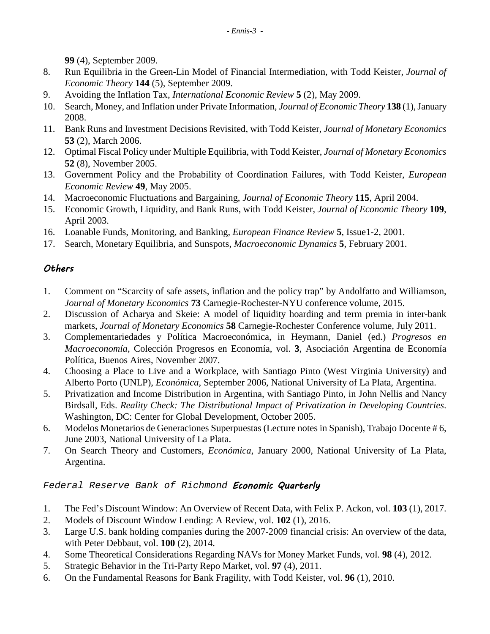**99** (4), September 2009.

- 8. Run Equilibria in the Green-Lin Model of Financial Intermediation, with Todd Keister, *Journal of Economic Theory* **144** (5), September 2009.
- 9. Avoiding the Inflation Tax, *International Economic Review* **5** (2), May 2009.
- 10. Search, Money, and Inflation under Private Information, *Journal of Economic Theory* **138** (1), January 2008.
- 11. Bank Runs and Investment Decisions Revisited, with Todd Keister, *Journal of Monetary Economics* **53** (2), March 2006.
- 12. Optimal Fiscal Policy under Multiple Equilibria, with Todd Keister, *Journal of Monetary Economics* **52** (8), November 2005.
- 13. Government Policy and the Probability of Coordination Failures, with Todd Keister, *European Economic Review* **49**, May 2005.
- 14. Macroeconomic Fluctuations and Bargaining, *Journal of Economic Theory* **115**, April 2004.
- 15. Economic Growth, Liquidity, and Bank Runs, with Todd Keister, *Journal of Economic Theory* **109**, April 2003.
- 16. Loanable Funds, Monitoring, and Banking, *European Finance Review* **5**, Issue1-2, 2001.
- 17. Search, Monetary Equilibria, and Sunspots, *Macroeconomic Dynamics* **5**, February 2001.

# *Others*

- 1. Comment on "Scarcity of safe assets, inflation and the policy trap" by Andolfatto and Williamson, *Journal of Monetary Economics* **73** Carnegie-Rochester-NYU conference volume, 2015.
- 2. Discussion of Acharya and Skeie: A model of liquidity hoarding and term premia in inter-bank markets, *Journal of Monetary Economics* **58** Carnegie-Rochester Conference volume, July 2011.
- 3. Complementariedades y Política Macroeconómica, in Heymann, Daniel (ed.) *Progresos en Macroeconomía*, Colección Progresos en Economía, vol. **3**, Asociación Argentina de Economía Política, Buenos Aires, November 2007.
- 4. Choosing a Place to Live and a Workplace, with Santiago Pinto (West Virginia University) and Alberto Porto (UNLP), *Económica*, September 2006, National University of La Plata, Argentina.
- 5. Privatization and Income Distribution in Argentina, with Santiago Pinto, in John Nellis and Nancy Birdsall, Eds. *Reality Check: The Distributional Impact of Privatization in Developing Countries*. Washington, DC: Center for Global Development, October 2005.
- 6. Modelos Monetarios de Generaciones Superpuestas (Lecture notes in Spanish), Trabajo Docente # 6, June 2003, National University of La Plata.
- 7. On Search Theory and Customers, *Económica*, January 2000, National University of La Plata, Argentina.

### *Federal Reserve Bank of Richmond Economic Quarterly*

- 1. The Fed's Discount Window: An Overview of Recent Data, with Felix P. Ackon, vol. **103** (1), 2017.
- 2. Models of Discount Window Lending: A Review, vol. **102** (1), 2016.
- 3. Large U.S. bank holding companies during the 2007-2009 financial crisis: An overview of the data, with Peter Debbaut, vol. **100** (2), 2014.
- 4. Some Theoretical Considerations Regarding NAVs for Money Market Funds, vol. **98** (4), 2012.
- 5. Strategic Behavior in the Tri-Party Repo Market, vol. **97** (4), 2011.
- 6. On the Fundamental Reasons for Bank Fragility, with Todd Keister, vol. **96** (1), 2010.